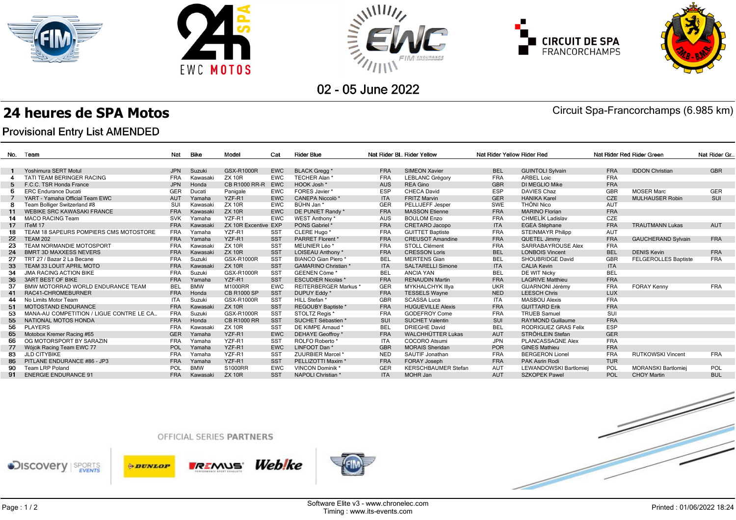









02 - 05 June 2022

## **24 heures de SPA Motos** Circuit Spa-Francorchamps (6.985 km)

## **Provisional Entry List AMENDED**

| No. | Team                                      | Nat        | Bike       | Model                | Cat             | <b>Rider Blue</b>           |            | Nat Rider BL. Rider Yellow | Nat Rider Yellow Rider Red |                          | Nat Rider Red Rider Green | Nat Rider Gr                |            |
|-----|-------------------------------------------|------------|------------|----------------------|-----------------|-----------------------------|------------|----------------------------|----------------------------|--------------------------|---------------------------|-----------------------------|------------|
|     |                                           |            |            |                      |                 |                             |            |                            |                            |                          |                           |                             |            |
|     | Yoshimura SERT Motul                      | <b>JPN</b> | Suzuki     | <b>GSX-R1000R</b>    | <b>EWC</b>      | <b>BLACK Gregg</b> *        | <b>FRA</b> | <b>SIMEON Xavier</b>       | <b>BEL</b>                 | <b>GUINTOLI Sylvain</b>  | <b>FRA</b>                | <b>IDDON Christian</b>      | <b>GBR</b> |
|     | TATI TEAM BERINGER RACING                 | <b>FRA</b> | Kawasak    | <b>ZX 10R</b>        | <b>EWC</b>      | TECHER Alan *               | <b>FRA</b> | <b>LEBLANC Grégory</b>     | <b>FRA</b>                 | <b>ARBEL Loic</b>        | <b>FRA</b>                |                             |            |
|     | F.C.C. TSR Honda France                   | <b>JPN</b> | Honda      | <b>CB R1000 RR-R</b> | <b>EWC</b>      | HOOK Josh *                 | <b>AUS</b> | <b>REA Gino</b>            | <b>GBR</b>                 | DI MEGLIO Mike           | <b>FRA</b>                |                             |            |
|     | <b>ERC</b> Endurance Ducati               | GER        | Ducati     | Panigale             | <b>EWC</b>      | FORES Javier *              | ESP        | <b>CHECA David</b>         | <b>ESP</b>                 | <b>DAVIES Chaz</b>       | GBR                       | <b>MOSER Marc</b>           | <b>GER</b> |
|     | YART - Yamaha Official Team EWC           | AUT        | Yamaha     | YZF-R1               | <b>EWC</b>      | CANEPA Niccolò *            | <b>ITA</b> | <b>FRITZ Marvin</b>        | <b>GER</b>                 | <b>HANIKA Karel</b>      | <b>CZE</b>                | <b>MULHAUSER Robin</b>      | SUI        |
| -8  | Team Bolliger Switzerland #8              | SUI        | Kawasaki   | <b>ZX 10R</b>        | <b>EWC</b>      | BÜHN Jan*                   | GER        | PELLIJEFF Jesper           | SWE                        | THÖNI Nico               | <b>AUT</b>                |                             |            |
| 11  | <b>WEBIKE SRC KAWASAKI FRANCE</b>         | <b>FRA</b> | Kawasaki   | <b>ZX 10R</b>        | <b>EWC</b>      | DE PUNIET Randy *           | <b>FRA</b> | <b>MASSON Etienne</b>      | <b>FRA</b>                 | <b>MARINO Florian</b>    | <b>FRA</b>                |                             |            |
| 14  | <b>MACO RACING Team</b>                   | <b>SVK</b> | Yamaha     | YZF-R1               | <b>EWC</b>      | WEST Anthony *              | <b>AUS</b> | <b>BOULOM Enzo</b>         | <b>FRA</b>                 | <b>CHMELÍK Ladislav</b>  | CZE                       |                             |            |
| 17  | ITeM 17                                   | <b>FRA</b> | Kawasaki   | ZX 10R Excentive EXP |                 | PONS Gabriel *              | <b>FRA</b> | <b>CRETARO Jacopo</b>      | <b>ITA</b>                 | <b>EGEA Stéphane</b>     | <b>FRA</b>                | <b>TRAUTMANN Lukas</b>      | <b>AUT</b> |
| 18  | TEAM 18 SAPEURS POMPIERS CMS MOTOSTORE    | <b>FRA</b> | Yamaha     | YZF-R1               | <b>SST</b>      | CLERE Hugo*                 | <b>FRA</b> | <b>GUITTET Baptiste</b>    | <b>FRA</b>                 | <b>STEINMAYR Philipp</b> | <b>AUT</b>                |                             |            |
| 22  | <b>TEAM 202</b>                           | <b>FRA</b> | Yamaha     | YZF-R1               | <b>SST</b>      | PARRET Florent *            | <b>FRA</b> | <b>CREUSOT Amandine</b>    | <b>FRA</b>                 | QUETEL Jimmy             | <b>FRA</b>                | <b>GAUCHERAND Sylvain</b>   | <b>FRA</b> |
| 23  | TEAM NORMANDIE MOTOSPORT                  | <b>FRA</b> | Kawasaki   | <b>ZX 10R</b>        | <b>SST</b>      | MEUNIER Léo <sup>*</sup>    | <b>FRA</b> | STOLL Clément              | <b>FRA</b>                 | SARRABAYROUSE Alex       | <b>FRA</b>                |                             |            |
| 24  | <b>BMRT 3D MAXXESS NEVERS</b>             | <b>FRA</b> | Kawasaki   | <b>ZX 10R</b>        | <b>SST</b>      | LOISEAU Anthony *           | <b>FRA</b> | <b>CRESSON Loris</b>       | <b>BEL</b>                 | <b>LONBOIS Vincent</b>   | <b>BEL</b>                | <b>DENIS Kevin</b>          | <b>FRA</b> |
| 27  | TRT 27 / Bazar 2 La Becane                | <b>FRA</b> | Suzuki     | GSX-R1000R           | <b>SST</b>      | BIANCO Gian Piero*          | BEL        | <b>MERTENS Gian</b>        | <b>BEL</b>                 | SHOUBRIDGE David         | GBR                       | <b>FELGEROLLES Baptiste</b> | <b>FRA</b> |
| 33  | TEAM 33 LOUIT APRIL MOTO                  | <b>FRA</b> | Kawasaki   | <b>ZX 10R</b>        | <b>SST</b>      | <b>GAMARINO Christian *</b> | <b>ITA</b> | <b>SALTARELLI Simone</b>   | <b>ITA</b>                 | <b>CALIA Kevin</b>       | <b>ITA</b>                |                             |            |
| 34  | <b>JMA RACING ACTION BIKE</b>             | <b>FRA</b> | Suzuki     | GSX-R1000R           | <b>SST</b>      | GEENEN Cöme                 | <b>BEL</b> | <b>ANCIA YAN</b>           | <b>BEL</b>                 | DE WIT Nicky             | <b>BEL</b>                |                             |            |
| 36  | <b>3ART BEST OF BIKE</b>                  | <b>FRA</b> | Yamaha     | YZF-R1               | <b>SST</b>      | <b>ESCUDIER Nicolas *</b>   | <b>FRA</b> | <b>RENAUDIN Martin</b>     | <b>FRA</b>                 | <b>LAGRIVE Matthieu</b>  | <b>FRA</b>                |                             |            |
| 37  | BMW MOTORRAD WORLD ENDURANCE TEAM         | <b>BEL</b> | <b>BMW</b> | M1000RR              | <b>EWC</b>      | <b>REITERBERGER Markus*</b> | GER        | <b>MYKHALCHYK Illya</b>    | <b>UKR</b>                 | <b>GUARNONI Jérémy</b>   | <b>FRA</b>                | <b>FORAY Kenny</b>          | <b>FRA</b> |
| 41  | RAC41-CHROMEBURNER                        | <b>FRA</b> | Honda      | <b>CB R1000 SP</b>   | SST             | DUPUY Eddy *                | <b>FRA</b> | <b>TESSELS Wayne</b>       | <b>NED</b>                 | <b>LEESCH Chris</b>      | <b>LUX</b>                |                             |            |
| 44  | No Limits Motor Team                      | <b>ITA</b> | Suzuki     | GSX-R1000R           | <b>SST</b>      | HILL Stefan *               | <b>GBR</b> | <b>SCASSA Luca</b>         | <b>ITA</b>                 | <b>MASBOU Alexis</b>     | <b>FRA</b>                |                             |            |
| 51  | <b>MOTOSTAND ENDURANCE</b>                | <b>FRA</b> | Kawasaki   | <b>ZX 10R</b>        | <b>SST</b>      | <b>REGOUBY Baptiste *</b>   | <b>FRA</b> | <b>HUGUEVILLE Alexis</b>   | <b>FRA</b>                 | <b>GUITTARD Erik</b>     | <b>FRA</b>                |                             |            |
| 53  | MANA-AU COMPETITION / LIGUE CONTRE LE CA. | <b>FRA</b> | Suzuki     | GSX-R1000R           | <b>SST</b>      | STOLTZ Reais *              | <b>FRA</b> | <b>GODEFROY Come</b>       | <b>FRA</b>                 | <b>TRUEB Samuel</b>      | SUI                       |                             |            |
| 55  | NATIONAL MOTOS HONDA                      | <b>FRA</b> | Honda      | <b>CB R1000 RR</b>   | <b>SST</b>      | SUCHET Sébastien *          | SUI        | <b>SUCHET Valentin</b>     | SUI                        | <b>RAYMOND Guillaume</b> | <b>FRA</b>                |                             |            |
| 56  | <b>PLAYERS</b>                            | <b>FRA</b> | Kawasak    | <b>ZX 10R</b>        | <b>SST</b>      | DE KIMPE Arnaud *           | <b>BEL</b> | <b>DRIEGHE David</b>       | <b>BEL</b>                 | RODRIGUEZ GRAS Felix     | <b>ESP</b>                |                             |            |
| 65  | Motobox Kremer Racing #65                 | <b>GER</b> | Yamaha     | YZF-R1               | <b>EWC</b>      | <b>DEHAYE Geoffroy</b> *    | <b>FRA</b> | <b>WALCHHÜTTER Lukas</b>   | <b>AUT</b>                 | STRÖHLEIN Stefan         | <b>GER</b>                |                             |            |
| 66  | OG MOTORSPORT BY SARAZIN                  | <b>FRA</b> | Yamaha     | YZF-R1               | <b>SST</b>      | ROLFO Roberto               | <b>ITA</b> | <b>COCORO Atsumi</b>       | <b>JPN</b>                 | PLANCASSAGNE Alex        | <b>FRA</b>                |                             |            |
| 77  | Wójcik Racing Team EWC 77                 | POL        | Yamaha     | YZF-R1               | <b>EWC</b>      | LINFOOT Dan*                | <b>GBR</b> | <b>MORAIS Sheridan</b>     | <b>POR</b>                 | <b>GINES Mathieu</b>     | <b>FRA</b>                |                             |            |
| 83  | <b>JLD CITYBIKE</b>                       | <b>FRA</b> | Yamaha     | YZF-R1               | SS <sub>1</sub> | ZUURBIER Marcel *           | <b>NED</b> | SAUTIF Jonathan            | <b>FRA</b>                 | <b>BERGERON Lionel</b>   | <b>FRA</b>                | <b>RUTKOWSKI Vincent</b>    | <b>FRA</b> |
| 86  | PITLANE ENDURANCE #86 - JP3               | <b>FRA</b> | Yamaha     | YZF-R1               | <b>SST</b>      | PELLIZOTTI Maxim *          | <b>FRA</b> | <b>FORAY Joseph</b>        | <b>FRA</b>                 | PAK Asrin Rodi           | <b>TUR</b>                |                             |            |
| 90  | Team LRP Poland                           | POL        | <b>BMW</b> | S1000RR              | <b>EWC</b>      | <b>VINCON Dominik *</b>     | GER        | <b>KERSCHBAUMER Stefan</b> | <b>AUT</b>                 | LEWANDOWSKI Bartlomiei   | POL                       | <b>MORANSKI Bartlomiei</b>  | POL        |
|     | 91 ENERGIE ENDURANCE 91                   | <b>FRA</b> | Kawasaki   | <b>ZX 10R</b>        | <b>SST</b>      | NAPOLI Christian *          | <b>ITA</b> | MOHR Jan                   | AUT                        | <b>SZKOPEK Pawel</b>     | POL                       | <b>CHOY Martin</b>          | <b>BUL</b> |
|     |                                           |            |            |                      |                 |                             |            |                            |                            |                          |                           |                             |            |